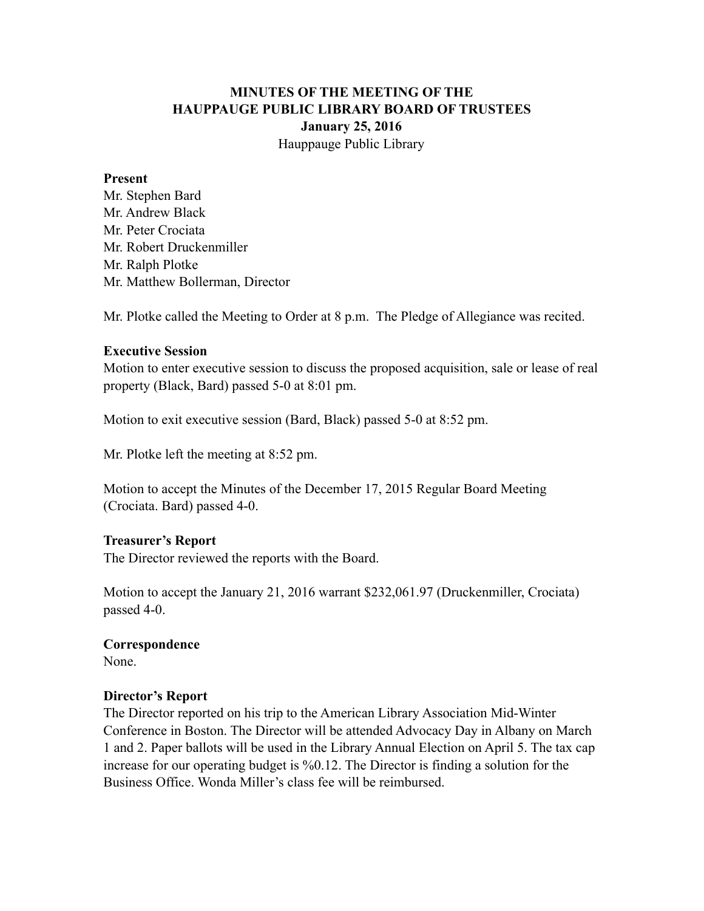# **MINUTES OF THE MEETING OF THE HAUPPAUGE PUBLIC LIBRARY BOARD OF TRUSTEES January 25, 2016** Hauppauge Public Library

#### **Present**

Mr. Stephen Bard Mr. Andrew Black Mr. Peter Crociata Mr. Robert Druckenmiller Mr. Ralph Plotke Mr. Matthew Bollerman, Director

Mr. Plotke called the Meeting to Order at 8 p.m. The Pledge of Allegiance was recited.

### **Executive Session**

Motion to enter executive session to discuss the proposed acquisition, sale or lease of real property (Black, Bard) passed 5-0 at 8:01 pm.

Motion to exit executive session (Bard, Black) passed 5-0 at 8:52 pm.

Mr. Plotke left the meeting at 8:52 pm.

Motion to accept the Minutes of the December 17, 2015 Regular Board Meeting (Crociata. Bard) passed 4-0.

### **Treasurer's Report**

The Director reviewed the reports with the Board.

Motion to accept the January 21, 2016 warrant \$232,061.97 (Druckenmiller, Crociata) passed 4-0.

### **Correspondence**

None.

### **Director's Report**

The Director reported on his trip to the American Library Association Mid-Winter Conference in Boston. The Director will be attended Advocacy Day in Albany on March 1 and 2. Paper ballots will be used in the Library Annual Election on April 5. The tax cap increase for our operating budget is %0.12. The Director is finding a solution for the Business Office. Wonda Miller's class fee will be reimbursed.